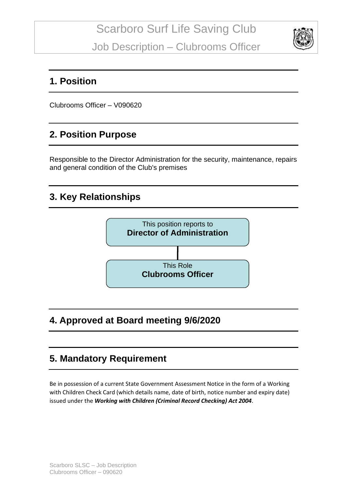

### **1. Position**

Clubrooms Officer – V090620

## **2. Position Purpose**

Responsible to the Director Administration for the security, maintenance, repairs and general condition of the Club's premises

## **3. Key Relationships**



## **4. Approved at Board meeting 9/6/2020**

## **5. Mandatory Requirement**

Be in possession of a current State Government Assessment Notice in the form of a Working with Children Check Card (which details name, date of birth, notice number and expiry date) issued under the *Working with Children (Criminal Record Checking) Act 2004*.